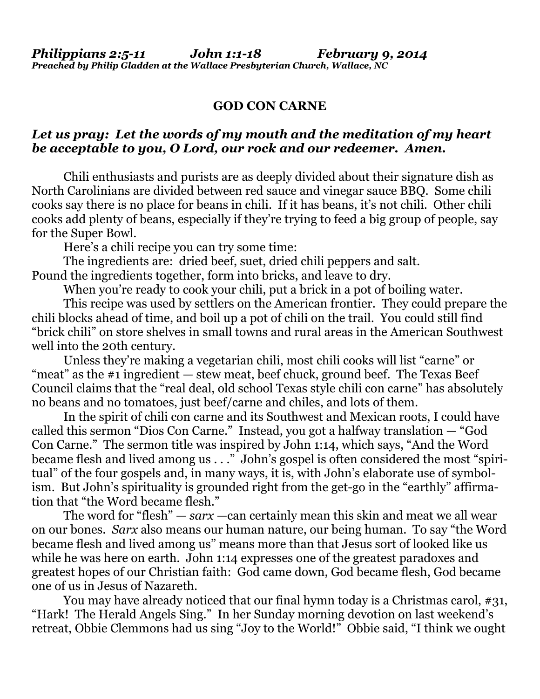## **GOD CON CARNE**

## *Let us pray: Let the words of my mouth and the meditation of my heart be acceptable to you, O Lord, our rock and our redeemer. Amen.*

Chili enthusiasts and purists are as deeply divided about their signature dish as North Carolinians are divided between red sauce and vinegar sauce BBQ. Some chili cooks say there is no place for beans in chili. If it has beans, it's not chili. Other chili cooks add plenty of beans, especially if they're trying to feed a big group of people, say for the Super Bowl.

Here's a chili recipe you can try some time:

 The ingredients are: dried beef, [suet,](http://en.wikipedia.org/wiki/Suet) dried chili peppers and salt. Pound the ingredients together, form into bricks, and leave to dry.

When you're ready to cook your chili, put a brick in a pot of boiling water.

 This recipe was used by settlers on the American frontier. They could prepare the chili blocks ahead of time, and boil up a pot of chili on the trail. You could still find "brick chili" on store shelves in small towns and rural areas in the American Southwest well into the 20th century.

 Unless they're making a vegetarian chili, most chili cooks will list "carne" or "meat" as the  $\#1$  ingredient  $-$  stew meat, beef chuck, ground beef. The Texas Beef Council claims that the "real deal, old school Texas style chili con carne" has absolutely no beans and no tomatoes, just beef/carne and chiles, and lots of them.

 In the spirit of chili con carne and its Southwest and Mexican roots, I could have called this sermon "Dios Con Carne." Instead, you got a halfway translation — "God Con Carne." The sermon title was inspired by John 1:14, which says, "And the Word became flesh and lived among us . . ." John's gospel is often considered the most "spiritual" of the four gospels and, in many ways, it is, with John's elaborate use of symbolism. But John's spirituality is grounded right from the get-go in the "earthly" affirmation that "the Word became flesh."

 The word for "flesh" — *sarx* —can certainly mean this skin and meat we all wear on our bones. *Sarx* also means our human nature, our being human. To say "the Word became flesh and lived among us" means more than that Jesus sort of looked like us while he was here on earth. John 1:14 expresses one of the greatest paradoxes and greatest hopes of our Christian faith: God came down, God became flesh, God became one of us in Jesus of Nazareth.

You may have already noticed that our final hymn today is a Christmas carol, #31, "Hark! The Herald Angels Sing." In her Sunday morning devotion on last weekend's retreat, Obbie Clemmons had us sing "Joy to the World!" Obbie said, "I think we ought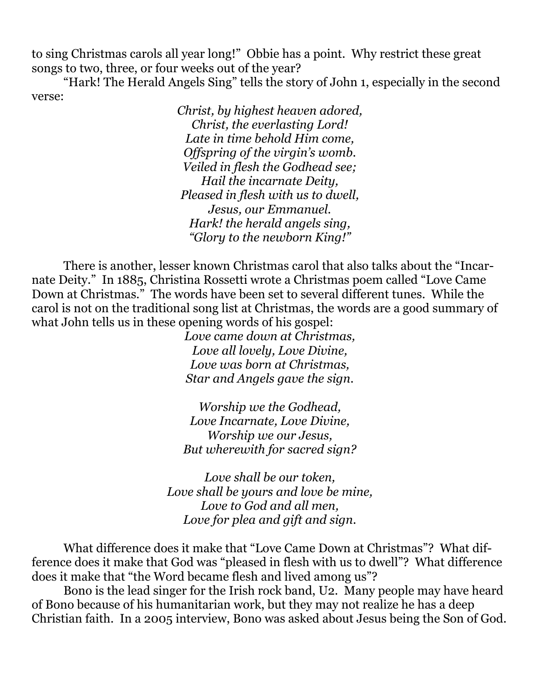to sing Christmas carols all year long!" Obbie has a point. Why restrict these great songs to two, three, or four weeks out of the year?

 "Hark! The Herald Angels Sing" tells the story of John 1, especially in the second verse:

> *Christ, by highest heaven adored, Christ, the everlasting Lord! Late in time behold Him come, Offspring of the virgin's womb. Veiled in flesh the Godhead see; Hail the incarnate Deity, Pleased in flesh with us to dwell, Jesus, our Emmanuel. Hark! the herald angels sing, "Glory to the newborn King!"*

 There is another, lesser known Christmas carol that also talks about the "Incarnate Deity." In 1885, Christina Rossetti wrote a Christmas poem called "Love Came Down at Christmas." The words have been set to several different tunes. While the carol is not on the traditional song list at Christmas, the words are a good summary of what John tells us in these opening words of his gospel:

> *Love came down at Christmas, Love all lovely, Love Divine, Love was born at Christmas, Star and Angels gave the sign.*

> *Worship we the Godhead, Love Incarnate, Love Divine, Worship we our Jesus, But wherewith for sacred sign?*

*Love shall be our token, Love shall be yours and love be mine, Love to God and all men, Love for plea and gift and sign.* 

 What difference does it make that "Love Came Down at Christmas"? What difference does it make that God was "pleased in flesh with us to dwell"? What difference does it make that "the Word became flesh and lived among us"?

 Bono is the lead singer for the Irish rock band, U2. Many people may have heard of Bono because of his humanitarian work, but they may not realize he has a deep Christian faith. In a 2005 interview, Bono was asked about Jesus being the Son of God.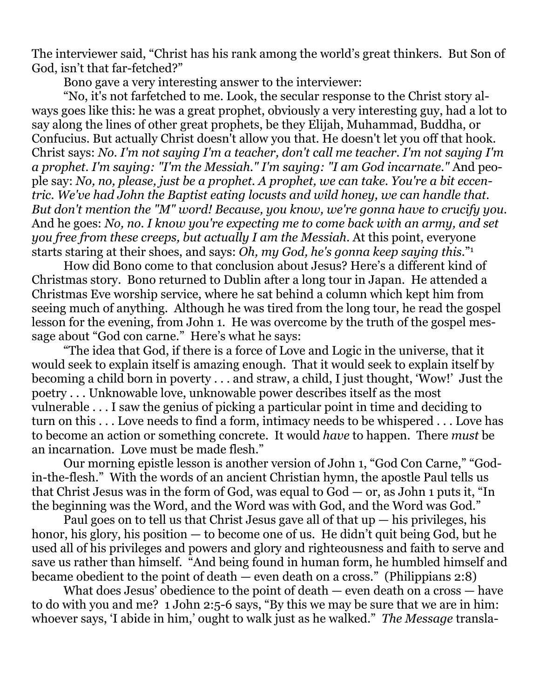The interviewer said, "Christ has his rank among the world's great thinkers. But Son of God, isn't that far-fetched?"

Bono gave a very interesting answer to the interviewer:

 "No, it's not farfetched to me. Look, the secular response to the Christ story always goes like this: he was a great prophet, obviously a very interesting guy, had a lot to say along the lines of other great prophets, be they Elijah, Muhammad, Buddha, or Confucius. But actually Christ doesn't allow you that. He doesn't let you off that hook. Christ says: *No. I'm not saying I'm a teacher, don't call me teacher. I'm not saying I'm a prophet. I'm saying: "I'm the Messiah." I'm saying: "I am God incarnate."* And people say: *No, no, please, just be a prophet. A prophet, we can take. You're a bit eccentric. We've had John the Baptist eating locusts and wild honey, we can handle that. But don't mention the "M" word! Because, you know, we're gonna have to crucify you.* And he goes: *No, no. I know you're expecting me to come back with an army, and set you free from these creeps, but actually I am the Messiah.* At this point, everyone starts staring at their shoes, and says: *Oh, my God, he's gonna keep saying this.*"1

 How did Bono come to that conclusion about Jesus? Here's a different kind of Christmas story. Bono returned to Dublin after a long tour in Japan. He attended a Christmas Eve worship service, where he sat behind a column which kept him from seeing much of anything. Although he was tired from the long tour, he read the gospel lesson for the evening, from John 1. He was overcome by the truth of the gospel message about "God con carne." Here's what he says:

 "The idea that God, if there is a force of Love and Logic in the universe, that it would seek to explain itself is amazing enough. That it would seek to explain itself by becoming a child born in poverty . . . and straw, a child, I just thought, 'Wow!' Just the poetry . . . Unknowable love, unknowable power describes itself as the most vulnerable . . . I saw the genius of picking a particular point in time and deciding to turn on this . . . Love needs to find a form, intimacy needs to be whispered . . . Love has to become an action or something concrete. It would *have* to happen. There *must* be an incarnation. Love must be made flesh."

 Our morning epistle lesson is another version of John 1, "God Con Carne," "Godin-the-flesh." With the words of an ancient Christian hymn, the apostle Paul tells us that Christ Jesus was in the form of God, was equal to God — or, as John 1 puts it, "In the beginning was the Word, and the Word was with God, and the Word was God."

Paul goes on to tell us that Christ Jesus gave all of that  $up - his$  privileges, his honor, his glory, his position — to become one of us. He didn't quit being God, but he used all of his privileges and powers and glory and righteousness and faith to serve and save us rather than himself. "And being found in human form, he humbled himself and became obedient to the point of death — even death on a cross." (Philippians 2:8)

 What does Jesus' obedience to the point of death — even death on a cross — have to do with you and me? 1 John 2:5-6 says, "By this we may be sure that we are in him: whoever says, 'I abide in him,' ought to walk just as he walked." *The Message* transla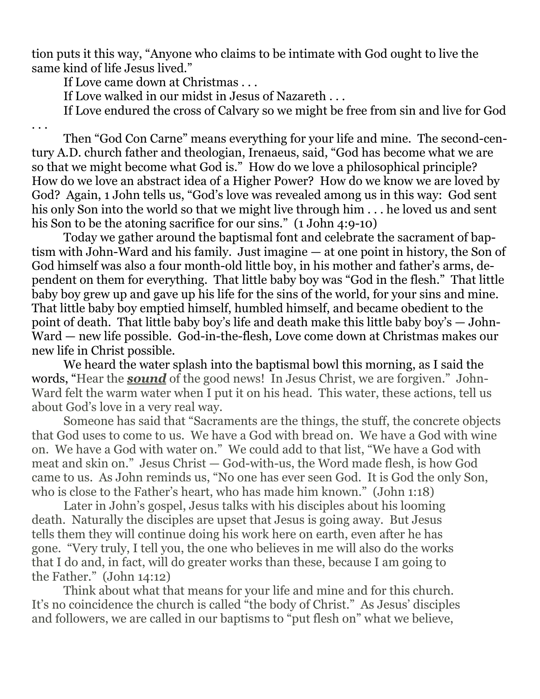tion puts it this way, "Anyone who claims to be intimate with God ought to live the same kind of life Jesus lived."

If Love came down at Christmas . . .

If Love walked in our midst in Jesus of Nazareth . . .

If Love endured the cross of Calvary so we might be free from sin and live for God

. . .

 Then "God Con Carne" means everything for your life and mine. The second-century A.D. church father and theologian, Irenaeus, said, "God has become what we are so that we might become what God is." How do we love a philosophical principle? How do we love an abstract idea of a Higher Power? How do we know we are loved by God? Again, 1 John tells us, "God's love was revealed among us in this way: God sent his only Son into the world so that we might live through him . . . he loved us and sent his Son to be the atoning sacrifice for our sins." (1 John 4:9-10)

 Today we gather around the baptismal font and celebrate the sacrament of baptism with John-Ward and his family. Just imagine — at one point in history, the Son of God himself was also a four month-old little boy, in his mother and father's arms, dependent on them for everything. That little baby boy was "God in the flesh." That little baby boy grew up and gave up his life for the sins of the world, for your sins and mine. That little baby boy emptied himself, humbled himself, and became obedient to the point of death. That little baby boy's life and death make this little baby boy's — John-Ward — new life possible. God-in-the-flesh, Love come down at Christmas makes our new life in Christ possible.

 We heard the water splash into the baptismal bowl this morning, as I said the words, "Hear the *sound* of the good news! In Jesus Christ, we are forgiven." John-Ward felt the warm water when I put it on his head. This water, these actions, tell us about God's love in a very real way.

 Someone has said that "Sacraments are the things, the stuff, the concrete objects that God uses to come to us. We have a God with bread on. We have a God with wine on. We have a God with water on." We could add to that list, "We have a God with meat and skin on." Jesus Christ — God-with-us, the Word made flesh, is how God came to us. As John reminds us, "No one has ever seen God. It is God the only Son, who is close to the Father's heart, who has made him known." (John 1:18)

 Later in John's gospel, Jesus talks with his disciples about his looming death. Naturally the disciples are upset that Jesus is going away. But Jesus tells them they will continue doing his work here on earth, even after he has gone. "Very truly, I tell you, the one who believes in me will also do the works that I do and, in fact, will do greater works than these, because I am going to the Father." (John 14:12)

 Think about what that means for your life and mine and for this church. It's no coincidence the church is called "the body of Christ." As Jesus' disciples and followers, we are called in our baptisms to "put flesh on" what we believe,